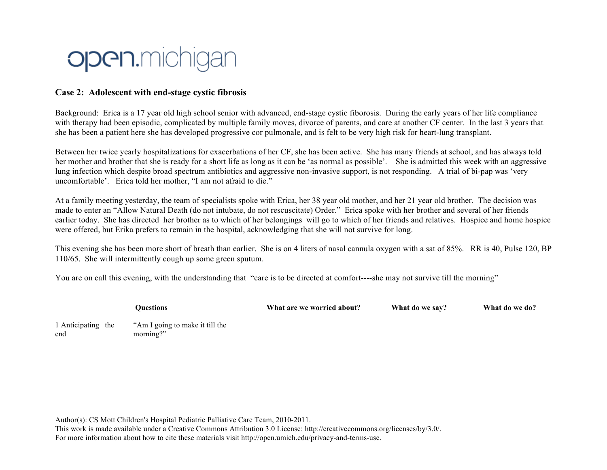

## **Case 2: Adolescent with end-stage cystic fibrosis**

Background: Erica is a 17 year old high school senior with advanced, end-stage cystic fiborosis. During the early years of her life compliance with therapy had been episodic, complicated by multiple family moves, divorce of parents, and care at another CF center. In the last 3 years that she has been a patient here she has developed progressive cor pulmonale, and is felt to be very high risk for heart-lung transplant.

Between her twice yearly hospitalizations for exacerbations of her CF, she has been active. She has many friends at school, and has always told her mother and brother that she is ready for a short life as long as it can be 'as normal as possible'. She is admitted this week with an aggressive lung infection which despite broad spectrum antibiotics and aggressive non-invasive support, is not responding. A trial of bi-pap was 'very uncomfortable'. Erica told her mother, "I am not afraid to die."

At a family meeting yesterday, the team of specialists spoke with Erica, her 38 year old mother, and her 21 year old brother. The decision was made to enter an "Allow Natural Death (do not intubate, do not rescuscitate) Order." Erica spoke with her brother and several of her friends earlier today. She has directed her brother as to which of her belongings will go to which of her friends and relatives. Hospice and home hospice were offered, but Erika prefers to remain in the hospital, acknowledging that she will not survive for long.

This evening she has been more short of breath than earlier. She is on 4 liters of nasal cannula oxygen with a sat of 85%. RR is 40, Pulse 120, BP 110/65. She will intermittently cough up some green sputum.

You are on call this evening, with the understanding that "care is to be directed at comfort----she may not survive till the morning"

**Questions What are we worried about? What do we say? What do we do?** 1 Anticipating the end "Am I going to make it till the morning?"

Author(s): CS Mott Children's Hospital Pediatric Palliative Care Team, 2010-2011. This work is made available under a Creative Commons Attribution 3.0 License: http://creativecommons.org/licenses/by/3.0/. For more information about how to cite these materials visit http://open.umich.edu/privacy-and-terms-use.